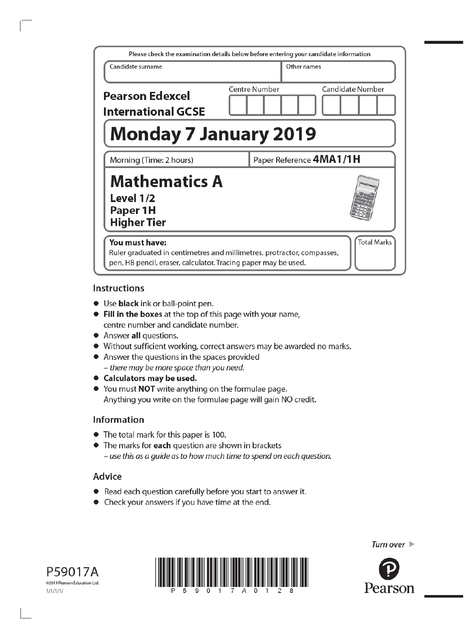| Please check the examination details below before entering your candidate information                                                                                            |                          |                         |  |
|----------------------------------------------------------------------------------------------------------------------------------------------------------------------------------|--------------------------|-------------------------|--|
| Candidate surname                                                                                                                                                                | Other names              |                         |  |
| <b>Pearson Edexcel</b><br><b>International GCSE</b>                                                                                                                              | <b>Centre Number</b>     | <b>Candidate Number</b> |  |
| <b>Monday 7 January 2019</b>                                                                                                                                                     |                          |                         |  |
| Morning (Time: 2 hours)                                                                                                                                                          | Paper Reference 4MA1/1 H |                         |  |
| <b>Mathematics A</b><br>Level 1/2<br>Paper 1H<br><b>Higher Tier</b>                                                                                                              |                          |                         |  |
| <b>Total Marks</b><br>You must have:<br>Ruler graduated in centimetres and millimetres, protractor, compasses,<br>pen, HB pencil, eraser, calculator. Tracing paper may be used. |                          |                         |  |

## **Instructions**

- Use black ink or ball-point pen.
- Fill in the boxes at the top of this page with your name, centre number and candidate number.
- Answer all questions.
- Without sufficient working, correct answers may be awarded no marks.
- Answer the questions in the spaces provided - there may be more space than you need.
- Calculators may be used.
- You must NOT write anything on the formulae page. Anything you write on the formulae page will gain NO credit.

## **Information**

- The total mark for this paper is 100.
- The marks for each question are shown in brackets - use this as a guide as to how much time to spend on each question.

## Advice

- Read each question carefully before you start to answer it.
- Check your answers if you have time at the end.





Turn over  $\blacktriangleright$ 

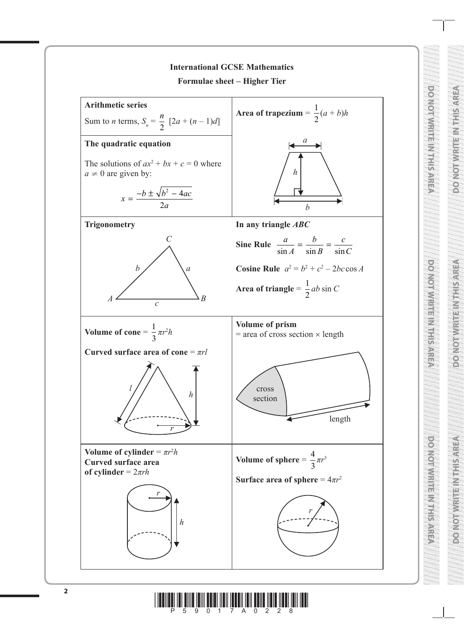

**DO NOT WRITE IN THIS AREA DO NOT WRITE IN THIS AREA DO NOT WRITE IN THIS AREA**

**SOLONOMER LETTERS** 

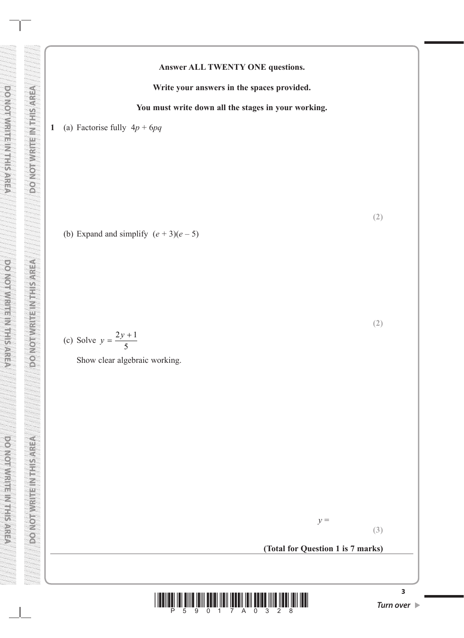**Write your answers in the spaces provided.**

**You must write down all the stages in your working.**

**1** (a) Factorise fully 4*p* + 6*pq*

**DO NOT WRITE IN THE INTERNATIONAL PROPERTY OF A REAL PROPERTY OF A REAL PROPERTY OF A REAL PROPERTY OF A REAL** 

VENUS PREFIGURES (

**DO NOT WRITE IN THIS AREA**

**DO NOT WRITE IN THIS AREA AREA AREA AREA AREA DO NOT WRITE IN THIS AREA ARE** 

 $(8)$ 

**DO NOT WRITE IN THIS AREA**

po Nomina Esta SARSO

(b) Expand and simplify  $(e + 3)(e - 5)$ 

**(2)**

**(2)**

Show clear algebraic working.

5

(c) Solve  $y = \frac{2y+1}{5}$ 

 $y =$ 

**(Total for Question 1 is 7 marks)**



**(3)**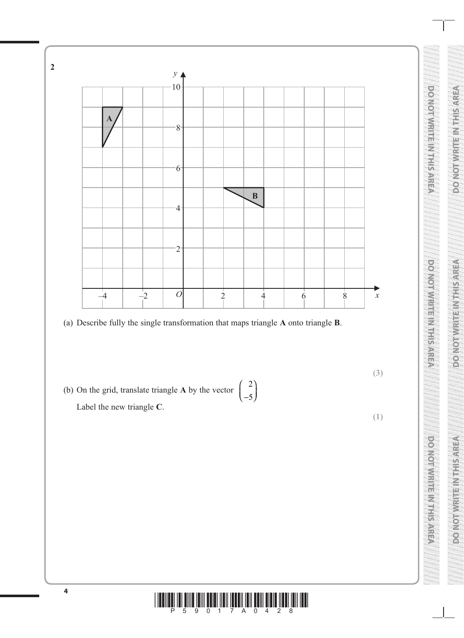

**DO NOT WRITE IN THE INTERNATIONAL PROPERTY AND INTERNATIONAL PROPERTY AND INTERNATIONAL PROPERTY AND INTERNATIONAL PROPERTY AND INTERNATIONAL PROPERTY AND INTERNATIONAL PROPERTY AND INTERNATIONAL PROPERTY AND INTERNATIONA** 

Value of the property of the state of the

**DONOT WRITEINER IS AREA** 

**DO NOT WRITE IN THE INTERNATIONAL PROPERTY AREA** 

**DO NOT WRITE IN THIS AREA DO NOT WRITE IN THIS AREA DO NOT WRITE IN THIS AREA**

**BOINOTNIRITEDNE SONIEN** 

**DO NOT WRITE IN THIS AREA**

**BOILER TERRESTIVES** 

 $\frac{1}{2}$  and  $\frac{2}{3}$  and  $\frac{2}{3}$  and  $\frac{2}{3}$  and  $\frac{2}{3}$  and  $\frac{2}{3}$  and  $\frac{2}{3}$  and  $\frac{2}{3}$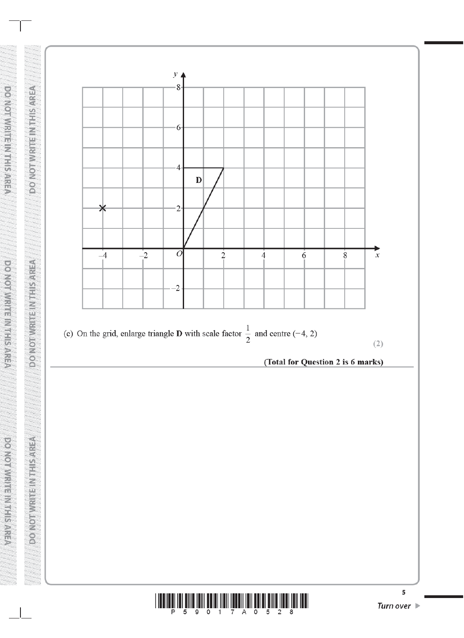

**DO NOT WRITE IN THIS AREA** 

**DO NOT WRITE NTHIS AREA** 

**ASSASSET VISION OF DO** 

DO NOT WASTE INSTRISAREA

DO NOTWRITE NUTISAREA

DO NOT WRITE IN THIS AREA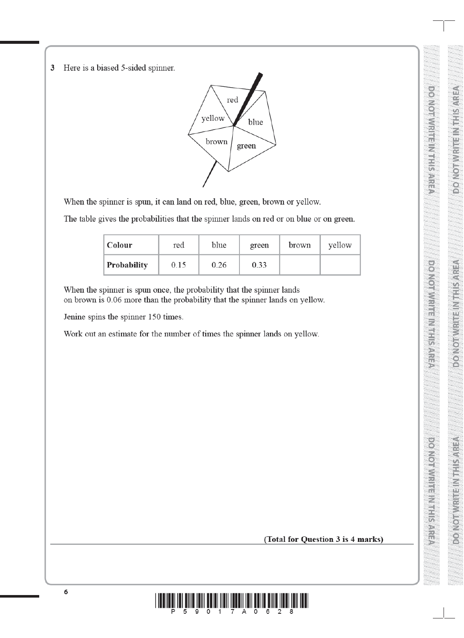$\mathbf{3}$ Here is a biased 5-sided spinner.



When the spinner is spun, it can land on red, blue, green, brown or yellow.

The table gives the probabilities that the spinner lands on red or on blue or on green.

| Colour      | red  | blue | green | brown | yellow |
|-------------|------|------|-------|-------|--------|
| Probability | 0.15 | 0.26 | 0.33  |       |        |

When the spinner is spun once, the probability that the spinner lands on brown is 0.06 more than the probability that the spinner lands on yellow.

Jenine spins the spinner 150 times.

Work out an estimate for the number of times the spinner lands on yellow.

(Total for Question 3 is 4 marks)

**DO NOT WISHERN HERS AREA** 

**DO NOTIVIALE NUMBER** 

**RESERVED CENTRO VOLUME** 

**DONOTHENT RESERVE** 

*CENTSI-LINEIR MALON OG* 

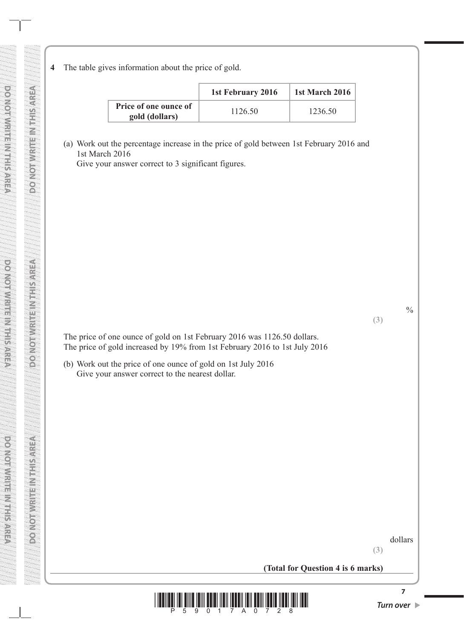**4** The table gives information about the price of gold.

**DO NOT WRITE IN THE INTERNATIONAL PROPERTY OF A REAL PROPERTY OF A REAL PROPERTY OF A REAL PROPERTY OF A REAL** 

**POISE ESPECIES** 

 $\begin{bmatrix} 1 \\ 0 \\ 0 \\ 0 \end{bmatrix}$ 

**DO NOT WRITE IN THIS AREA**

**DO NOT WRITE IN THIS AREA AREA AREA AREA AREA DO NOT WRITE IN THIS AREA ARE** 

**DO NOT WRITE IN THIS AREA**

|                                         | 1st February 2016 | 1st March 2016 |
|-----------------------------------------|-------------------|----------------|
| Price of one ounce of<br>gold (dollars) | 1126.50           | 1236.50        |

(a) Work out the percentage increase in the price of gold between 1st February 2016 and 1st March 2016

Give your answer correct to 3 significant figures.

**(3)**

 $\frac{0}{0}$ 

The price of one ounce of gold on 1st February 2016 was 1126.50 dollars. The price of gold increased by 19% from 1st February 2016 to 1st July 2016

(b) Work out the price of one ounce of gold on 1st July 2016 Give your answer correct to the nearest dollar.

dollars

**(3)**

**(Total for Question 4 is 6 marks)**

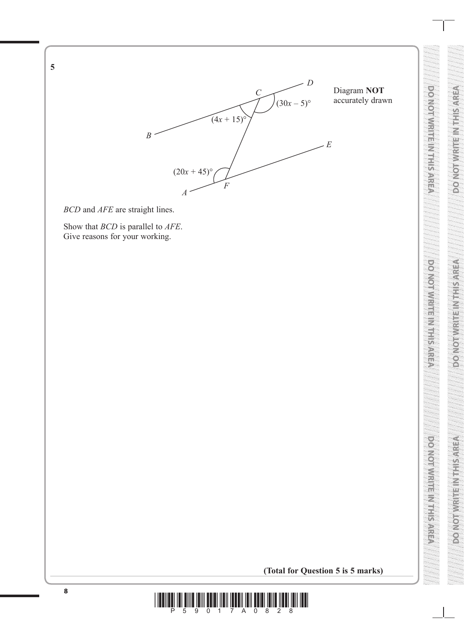Diagram **NOT** accurately drawn  $(4x + 15)^{c}$ *B A D C E F*  $(30x - 5)°$  $(20x + 45)$ ° *BCD* and *AFE* are straight lines. Show that *BCD* is parallel to *AFE*. Give reasons for your working.

**(Total for Question 5 is 5 marks)**

**DO NOT WRITE IN THE INTERNATIONAL PROPERTY AND INTERNATIONAL PROPERTY AND INTERNATIONAL PROPERTY AND INTERNATIONAL PROPERTY AND INTERNATIONAL PROPERTY AND INTERNATIONAL PROPERTY AND INTERNATIONAL PROPERTY AND INTERNATIONA** 

**VERVER NEED ARE MARGNOGE** 

**POLONIA PROVIDED AND CONCRETE** 

**DO NOT WRITE IN THE INTERNATIONAL PROPERTY AREA** 

**DO NOT WRITE IN THIS AREA DO NOT WRITE IN THIS AREA DO NOT WRITE IN THIS AREA**

**VERVICE MIRRIERING ON CO** 

**DO NOT WRITE IN THIS AREA**

**FERMANE MENTENTO** 

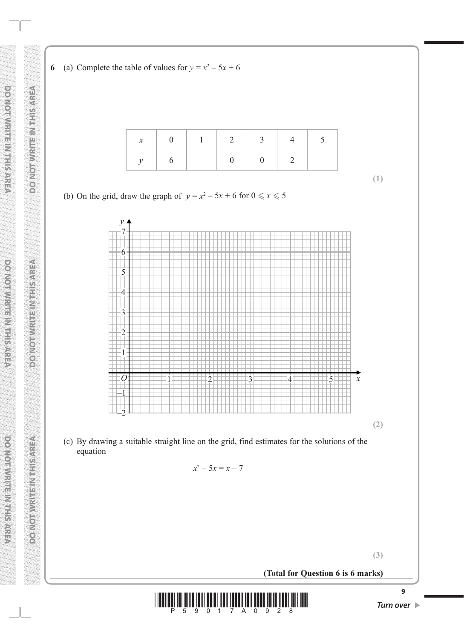**6** (a) Complete the table of values for  $y = x^2 - 5x + 6$ 

**DO NOT WRITE IN THE INTERNATIONAL PROPERTY IN THE INTERNATIONAL PROPERTY IN THE INTERNATIONAL PROPERTY IN THE** 

**DO NOINVIRIENTES AREA** 

**BOATORY HERE ARE SOLUTION** 

**DO NOT WRITE IN THIS AREA**

**DO NOTIVIALE NATIONALE** 

**DO NOT WRITE IN THIS AREA AREA AREA AREA AREA DO NOT WRITE IN THIS AREA ARE** 

**FOR SERVICE AND CONTROL** 

**DO NOT WRITE IN THIS AREA**

portomity is the province.

 $(8)$ 

| $\mathcal{X}$ |  | $\overline{\phantom{a}}$ | $\begin{array}{ccc} \begin{array}{ccc} \end{array} & \begin{array}{ccc} \end{array} & \begin{array}{ccc} \end{array} & \begin{array}{ccc} \end{array}$ |  |
|---------------|--|--------------------------|--------------------------------------------------------------------------------------------------------------------------------------------------------|--|
|               |  |                          |                                                                                                                                                        |  |

**(1)**

(b) On the grid, draw the graph of  $y = x^2 - 5x + 6$  for  $0 \le x \le 5$ 



(c) By drawing a suitable straight line on the grid, find estimates for the solutions of the equation

$$
x^2 - 5x = x - 7
$$

**(3)**

**(Total for Question 6 is 6 marks)**

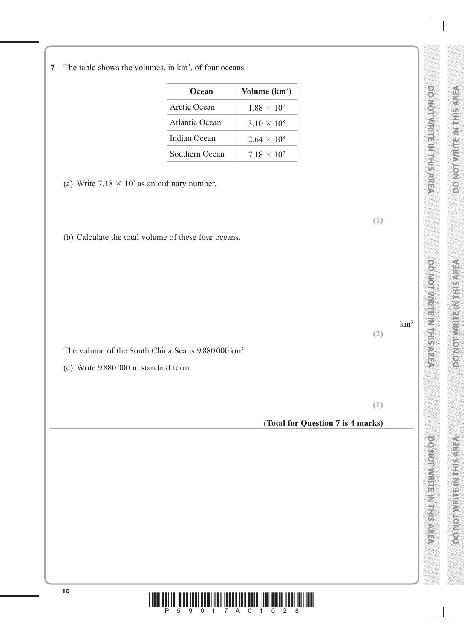7 The table shows the volumes, in km<sup>3</sup>, of four oceans.

| Ocean          | Volume $(km^3)$      |
|----------------|----------------------|
| Arctic Ocean   | $1.88 \times 10^{7}$ |
| Atlantic Ocean | $3.10 \times 10^{8}$ |
| Indian Ocean   | $2.64 \times 10^8$   |
| Southern Ocean | $7.18 \times 10^{7}$ |

(a) Write  $7.18 \times 10^7$  as an ordinary number.

(b) Calculate the total volume of these four oceans.

 $km<sup>3</sup>$ **(2)**

**(1)**

**DO NOT WRITE IN THE INTERNATIONAL PROPERTY AND INTERNATIONAL PROPERTY AND INTERNATIONAL PROPERTY AND INTERNATIONAL PROPERTY AND INTERNATIONAL PROPERTY AND INTERNATIONAL PROPERTY AND INTERNATIONAL PROPERTY AND INTERNATIONA** 

**DONOTHING MEDICA** 

**BUCK COMPANY AND A PROPERTY OF STATES OF STATES AND RESIDENCE** 

**DO NOT WRITE IN THE INTERNATIONAL PROPERTY AREA** 

**DO NOT WRITE IN THIS AREA DO NOT WRITE IN THIS AREA DO NOT WRITE IN THIS AREA**

**TENNES REAL SERVICES** 

**DO NOT WRITE IN THIS AREA**

**SECTIONS RESPECTED** 

**POSTAGE AND ARRANGEMENT COMPANY** 

The volume of the South China Sea is  $9880000 \text{ km}^3$ 

(c) Write 9880 000 in standard form.

**(1)**

## **(Total for Question 7 is 4 marks)**

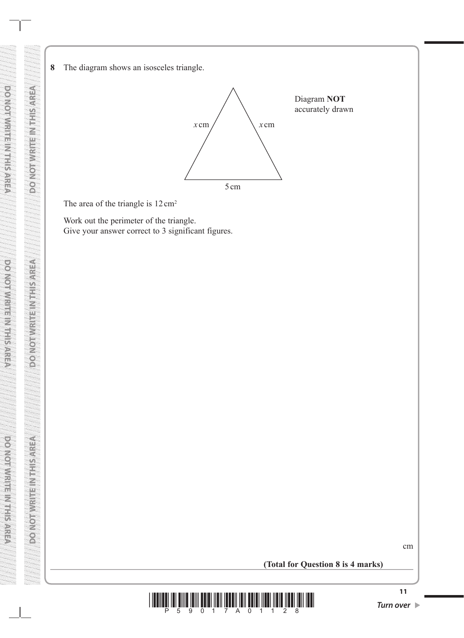**8** The diagram shows an isosceles triangle.



The area of the triangle is  $12 \text{ cm}^2$ 

**DO NOT WRITE IN THE INTERNATIONAL PROPERTY IN THE INTERNATIONAL PROPERTY IN THE INTERNATIONAL PROPERTY IN THE** 

**PONOMNISHES AREA** 

**Activity and Manufacture** 

**DO NOT WRITE IN THIS AREA**

power weinger was sproken

**DO NOT WRITE IN THIS AREA AREA AREA AREA AREA DO NOT WRITE IN THIS AREA ARE** 

**FOR SERVICE AND CONTROL** 

**DO NOT WRITE IN THIS AREA**

**DOMORATIES AND SALE** 

**VECTIVES** IN EXTREMEDIATORS

Work out the perimeter of the triangle. Give your answer correct to 3 significant figures.

cm

**(Total for Question 8 is 4 marks)**

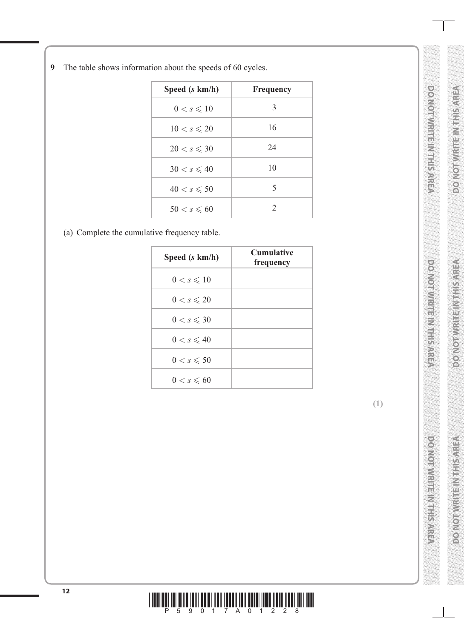**9** The table shows information about the speeds of 60 cycles.

| Speed (s km/h)        | <b>Frequency</b> |
|-----------------------|------------------|
| $0 < s \leqslant 10$  | 3                |
| $10 < s \leqslant 20$ | 16               |
| $20 < s \leqslant 30$ | 24               |
| $30 < s \leqslant 40$ | 10               |
| $40 < s \leqslant 50$ | 5                |
| $50 < s \leqslant 60$ | $\mathfrak{D}$   |

(a) Complete the cumulative frequency table.

| Speed (s km/h)       | <b>Cumulative</b><br>frequency |
|----------------------|--------------------------------|
| $0 < s \leqslant 10$ |                                |
| $0 < s \leqslant 20$ |                                |
| $0 < s \leqslant 30$ |                                |
| $0 < s \leqslant 40$ |                                |
| $0 < s \leqslant 50$ |                                |
| $0 < s \leqslant 60$ |                                |

**(1)**

**DO NOT WRITE IN THE INTERNATIONAL PROPERTY AND INTERNATIONAL PROPERTY AND INTERNATIONAL PROPERTY AND INTERNATIONAL PROPERTY AND INTERNATIONAL PROPERTY AND INTERNATIONAL PROPERTY AND INTERNATIONAL PROPERTY AND INTERNATIONA** 

**Matures I and Elisabeth Contract** 

**DONOMIA REPORT OF SANDO** 

**DO NOT WRITE IN THE INTERNATIONAL PROPERTY AREA** 

porvey frances and the service

**DO NOT WRITE IN THIS AREA DO NOT WRITE IN THIS AREA DO NOT WRITE IN THIS AREA**

**EDICINIES** EN NEUROLOGI

**DO NOT WRITE IN THIS AREA**

**BOOK REAL AND REAL PROPERTY** 

**<sup>12</sup>** \*P59017A01228\*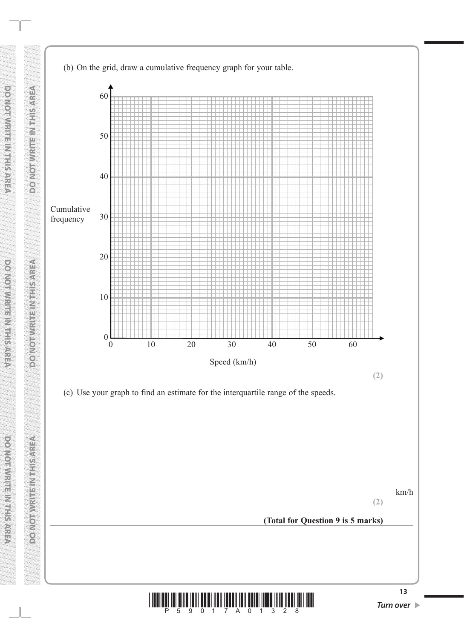

**DO NOT WRITE IN THE INTERNATIONAL PROPERTY IN THE INTERNATIONAL PROPERTY IN THE INTERNATIONAL PROPERTY IN THE** 

**POINT AND AND AND AND AND AND AND A** 

**DO NOT WRITE IN THIS AREA**

**DO NOT WRITE IN THIS AREA**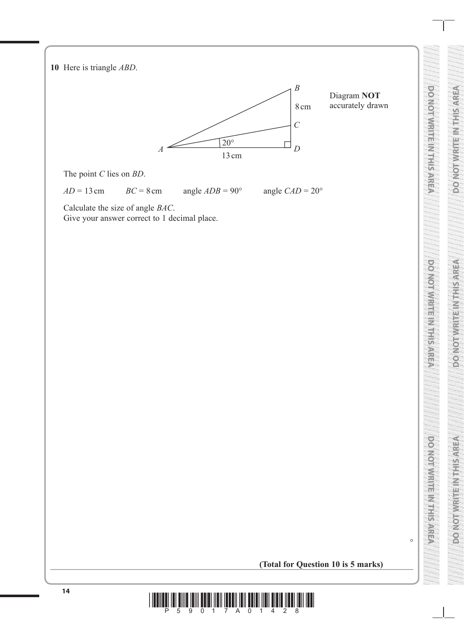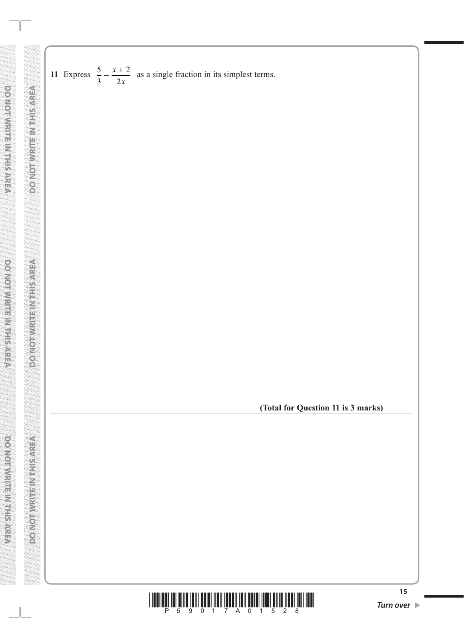

**DO NOT WRITE IN THE INTERNATIONAL PROPERTY IN THE INTERNATIONAL PROPERTY IN THE INTERNATIONAL PROPERTY IN THE** 

VENUSINEEANIMUONO

**DO NOT WRITE IN THIS AREA**

**ACCESS AND ACCESS AND LONGER** 

**DO NOT WRITE IN THIS AREA**

between the state of the state

**(Total for Question 11 is 3 marks)**

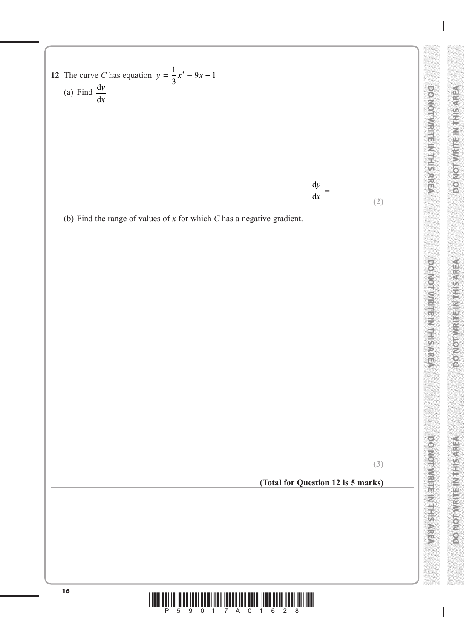**<sup>16</sup>** \*P59017A01628\* **12** The curve *C* has equation  $y = \frac{1}{2}x^3 - 9x +$ 3  $3^3 - 9x + 1$ (a) Find  $\frac{d}{dx}$ d *y x* (b) Find the range of values of *x* for which *C* has a negative gradient.

**(2)**

d d *y*  $\frac{x}{}$  = **DO NOT WRITE IN THE INTERNATIONAL PROPERTY AND INTERNATIONAL PROPERTY AND INTERNATIONAL PROPERTY AND INTERNATIONAL PROPERTY AND INTERNATIONAL PROPERTY AND INTERNATIONAL PROPERTY AND INTERNATIONAL PROPERTY AND INTERNATIONA** 

**SONO BUARE NIE SYNCO** 

**DESCRIPTION CONTROL** 

**DO NOT WRITE IN THE INTERNATIONAL PROPERTY AREA** 

**DO NOT WRITE IN THIS AREA DO NOT WRITE IN THIS AREA DO NOT WRITE IN THIS AREA**

**EDIORIAL ERIC DE L'ARAGE** 

**DO NOT WRITE IN THIS AREA**

**CONSTRUCTION** 

**(3)**

**(Total for Question 12 is 5 marks)**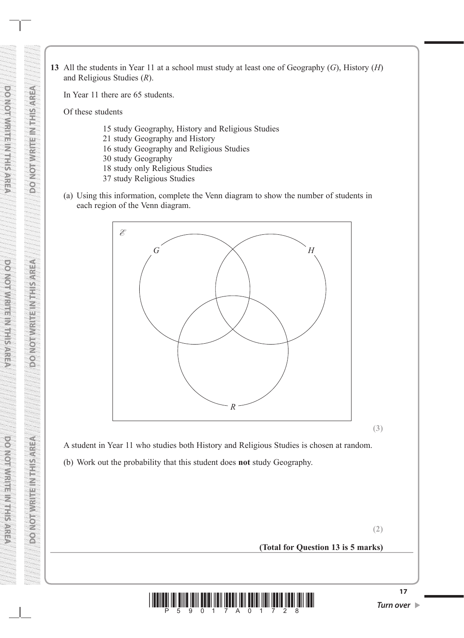**13** All the students in Year 11 at a school must study at least one of Geography (*G*), History (*H*) and Religious Studies (*R*).

In Year 11 there are 65 students.

Of these students

**DO NOT WRITE IN THE INTERNATIONAL PROPERTY OF A REAL PROPERTY OF A REAL PROPERTY OF A REAL PROPERTY OF A REAL** 

**POISE ESPECIES** 

2

 $\begin{bmatrix} 1 \\ 0 \\ 0 \\ 0 \end{bmatrix}$ 

**DO NOT WRITE IN THIS AREA**

**DO NOT WRITE IN THIS AREA AREA AREA AREA AREA DO NOT WRITE IN THIS AREA ARE** 

 $\mathcal{L}$ 

**DO NOT WRITE IN THIS AREA**

- 15 study Geography, History and Religious Studies
- 21 study Geography and History
- 16 study Geography and Religious Studies
- 30 study Geography
- 18 study only Religious Studies
- 37 study Religious Studies
- (a) Using this information, complete the Venn diagram to show the number of students in each region of the Venn diagram.



A student in Year 11 who studies both History and Religious Studies is chosen at random.

(b) Work out the probability that this student does **not** study Geography.

**(2)**

**(Total for Question 13 is 5 marks)**

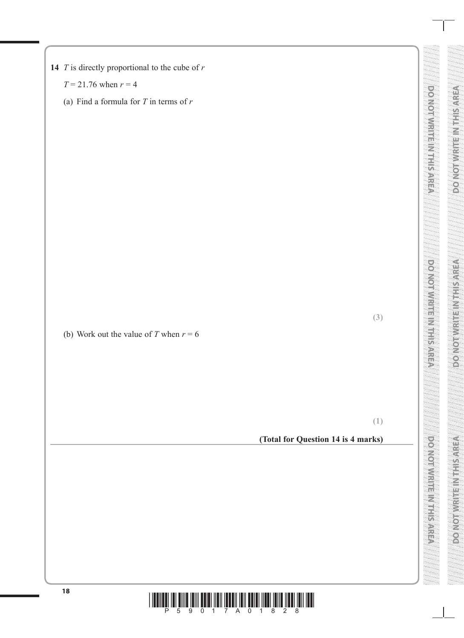**14** *T* is directly proportional to the cube of *r T* = 21.76 when *r* = 4 (a) Find a formula for *T* in terms of *r* **(3)** (b) Work out the value of *T* when  $r = 6$ **(1) (Total for Question 14 is 4 marks)**

**DO NOT WRITE IN THE INTERNATIONAL PROPERTY AND INTERNATIONAL PROPERTY AND INTERNATIONAL PROPERTY AND INTERNATIONAL PROPERTY AND INTERNATIONAL PROPERTY AND INTERNATIONAL PROPERTY AND INTERNATIONAL PROPERTY AND INTERNATIONA** 

**PERIORINAL PROPERTY** 

**SONO BUARE NIE SYNCO** 

**DO NOT WRITE IN THE INTERNATIONAL PROPERTY AREA** 

**DO NOT WRITE IN THIS AREA DO NOT WRITE IN THIS AREA DO NOT WRITE IN THIS AREA**

**EDIORIAL ERIC DE L'ARAGE** 

**DO NOT WRITE IN THIS AREA**

**POSTAGE AND ARRANGEMENT COMPANY** 

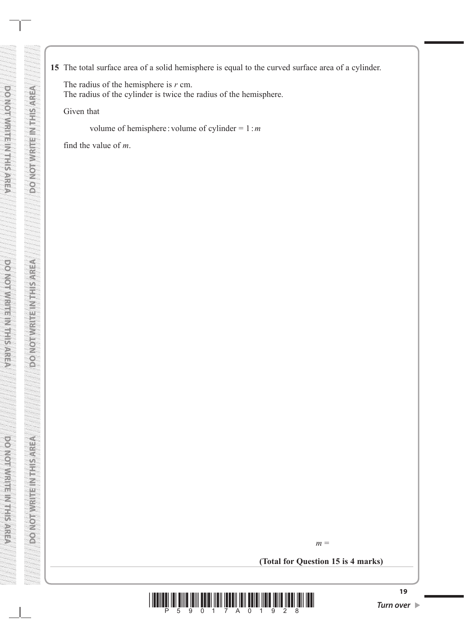**15** The total surface area of a solid hemisphere is equal to the curved surface area of a cylinder.

The radius of the hemisphere is *r* cm. The radius of the cylinder is twice the radius of the hemisphere.

Given that

**DO NOT WRITE IN THE INTERNATIONAL PROPERTY OF A REAL PROPERTY OF A REAL PROPERTY OF A REAL PROPERTY OF A REAL** 

**DO NOT WITHEIR IN 18 THEA** 

**DONOTHER MEETING** 

**DO NOT WRITE IN THIS AREA**

power weinger was sproken

**DO NOT WRITE IN THIS AREA AREA AREA AREA AREA DO NOT WRITE IN THIS AREA ARE** 

**ENGLAND MERCENT** 

**DO NOT WRITE IN THIS AREA**

**DOMORATIES AND SALE** 

volume of hemisphere : volume of cylinder = 1 :*m*

find the value of *m*.

 $m =$ 

**(Total for Question 15 is 4 marks)**

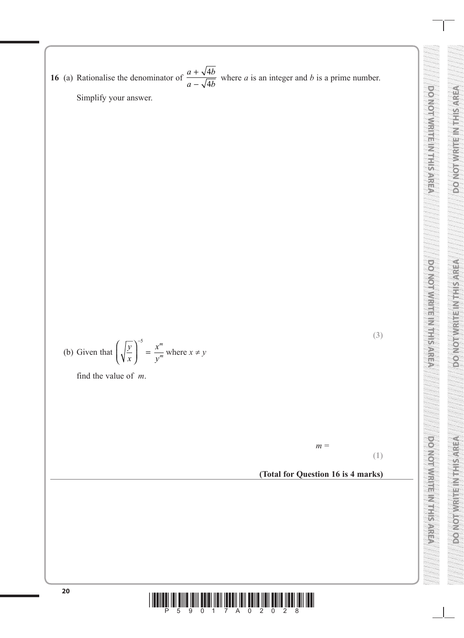**16** (a) Rationalise the denominator of  $a + \sqrt{4b}$  $a - \sqrt{4b}$ + − 4 4 where *a* is an integer and *b* is a prime number. Simplify your answer.

(b) Given that 
$$
\left(\sqrt{\frac{y}{x}}\right)^{-5} = \frac{x^m}{y^m}
$$
 where  $x \neq y$ 

find the value of *m*.

 $m =$ 

**DO NOT WRITE IN THE INTERNATIONAL PROPERTY AND INTERNATIONAL PROPERTY AND INTERNATIONAL PROPERTY AND INTERNATIONAL PROPERTY AND INTERNATIONAL PROPERTY AND INTERNATIONAL PROPERTY AND INTERNATIONAL PROPERTY AND INTERNATIONA** 

**SONO BUARE NIE SYNCO** 

**POSTERIAL CONTRACTOR** 

**DO NOT WRITE IN THE INTERNATIONAL PROPERTY AREA** 

**(3)**

**(1)**

**DO NOT WRITE IN THIS AREA DO NOT WRITE IN THIS AREA DO NOT WRITE IN THIS AREA**

**EDIORIAL ERIC DE L'ARAGE** 

**DO NOT WRITE IN THIS AREA**

**(Total for Question 16 is 4 marks)**

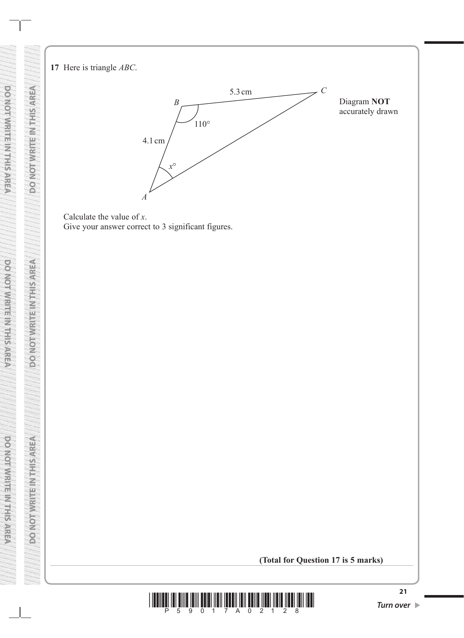**17** Here is triangle *ABC*.

**DO NOT WRITE IN THE INTERNATIONAL PROPERTY OF A REAL PROPERTY OF A REAL PROPERTY OF A REAL PROPERTY OF A REAL** 

**DO NOT MISTER NEWS AREA** 

**DONOINTENTENT DE NOTE** 

**DO NOT WRITE IN THIS AREA**

DONOIMENTER VIEWS

**DO NOT WRITE IN THIS AREA AREA AREA AREA AREA DO NOT WRITE IN THIS AREA ARE** 

**VERTICAL PROPERTY AND CONTROL** 

**DO NOT WRITE IN THIS AREA**

**DOMORATIES AND SALE** 

VECTIVE REPORT OF CONCORD



Calculate the value of *x*. Give your answer correct to 3 significant figures.

**(Total for Question 17 is 5 marks)**

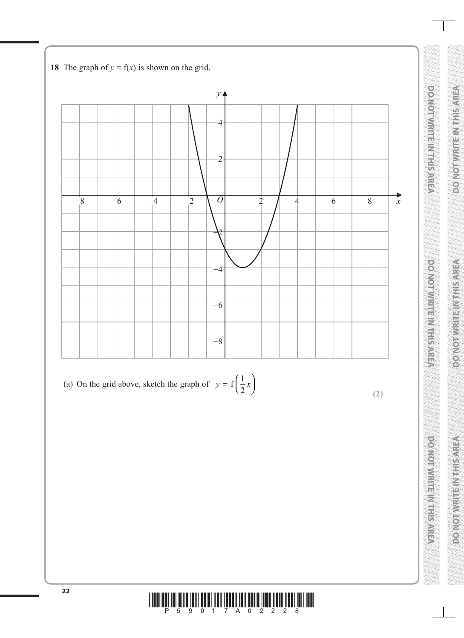

**DO NOT WRITE IN THIS AREA DO NOT WRITE IN THIS AREA DO NOT WRITE IN THIS AREA**

**VERVOLUTION: HELPHOTONICA** 

**DOMORATION** SENTER

**AERIA 21HT VIETIN 1880 OG** 

**22 1022 1022 10222 10222 10222 10222 10222 10222 10222 10222 10222 1022 1022 1022 1022 1022 1022 1022 1022 1022 1022 1022 1022 1022 1022 1022 1022 1022 1022 1022**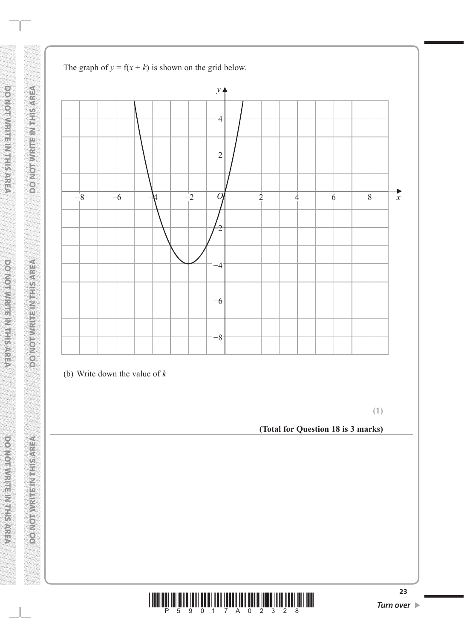

**DO NOT WRITE IN THE INTERNATIONAL PROPERTY OF A REAL PROPERTY OF A REAL PROPERTY OF A REAL PROPERTY OF A REAL** 

**VENTOSITING ESTAN OG DOG** 

**DO NOT WITHE MEET AREA** 

**DO NOT WRITE IN THIS AREA**

porcellistic property

**DO NOT WRITE IN THIS AREA AREA AREA AREA AREA DO NOT WRITE IN THIS AREA ARE** 

**ACCESS AND ACCESS AND LONGER** 

**DO NOT WRITE IN THIS AREA**

**DONOIN, RESISTENCE**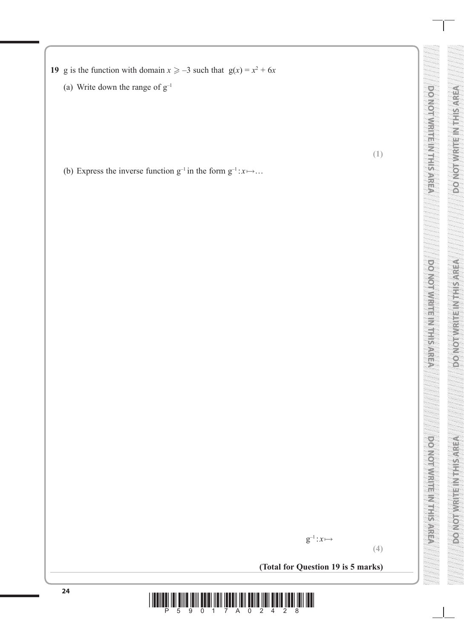**19** g is the function with domain  $x \ge -3$  such that  $g(x) = x^2 + 6x$ 

(a) Write down the range of  $g^{-1}$ 

(b) Express the inverse function  $g^{-1}$  in the form  $g^{-1}$ :  $x \mapsto \dots$ 

 $g^{-1}$  :  $x \mapsto$ 

**(4)**

**DO NOT WRITE IN THE INTERNATIONAL PROPERTY AND INTERNATIONAL PROPERTY AND INTERNATIONAL PROPERTY AND INTERNATIONAL PROPERTY AND INTERNATIONAL PROPERTY AND INTERNATIONAL PROPERTY AND INTERNATIONAL PROPERTY AND INTERNATIONA** 

**REPRESEDING ESPARED VIOLOGIA** 

**POIS PRISE REFERENCE** 

**(1)**

**DO NOT WRITE IN THE INTERNATIONAL PROPERTY AREA** 

**DO NOT WRITE IN THIS AREA DO NOT WRITE IN THIS AREA DO NOT WRITE IN THIS AREA**

**DO NOT WRITE IN THIS AREA**

**(Total for Question 19 is 5 marks)**

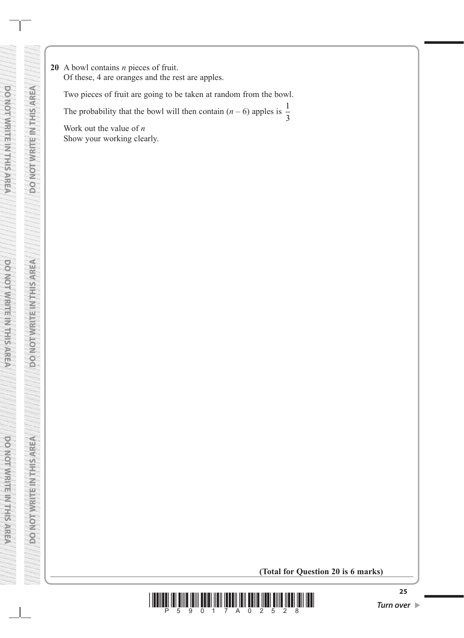**20** A bowl contains *n* pieces of fruit. Of these, 4 are oranges and the rest are apples.

Two pieces of fruit are going to be taken at random from the bowl.

The probability that the bowl will then contain  $(n-6)$  apples is  $\frac{1}{2}$ 3

Work out the value of *n* Show your working clearly.

**DO NOT WRITE IN THE INTERNATIONAL PROPERTY IN THE INTERNATIONAL PROPERTY IN THE INTERNATIONAL PROPERTY IN THE** 

**DO NOT WITHEIR IN 18 THEA** 

**DONOTHER MEETING** 

**DO NOT WRITE IN THIS AREA**

power weinger was sproken

**DO NOT WRITE IN THIS AREA AREA AREA AREA AREA DO NOT WRITE IN THIS AREA ARE** 

**DO NOT WRITE IN THIS AREA**

**DOMORATIES AND SALE** 

**(Total for Question 20 is 6 marks)**

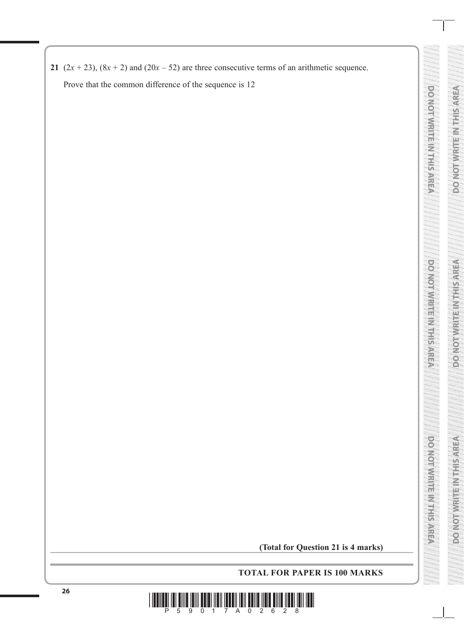

Prove that the common difference of the sequence is 12

**(Total for Question 21 is 4 marks)**

**DO NOT WRITE IN THE INTERNATIONAL PROPERTY AND INTERNATIONAL PROPERTY AND INTERNATIONAL PROPERTY AND INTERNATIONAL PROPERTY AND INTERNATIONAL PROPERTY AND INTERNATIONAL PROPERTY AND INTERNATIONAL PROPERTY AND INTERNATIONA** 

**SONO BUARE NIE SYNCO** 

**POIS PRISE REFERENCE** 

**DO NOT WRITE IN THE INTERNATIONAL PROPERTY AREA** 

**DO NOT WRITE IN THIS AREA DO NOT WRITE IN THIS AREA DO NOT WRITE IN THIS AREA**

**EDIORIAL ERIC DE L'ARAGE** 

**DO NOT WRITE IN THIS AREA**

**TOTAL FOR PAPER IS 100 MARKS**

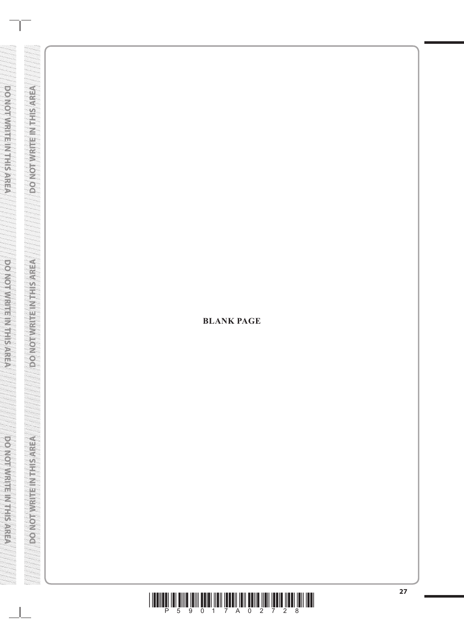## **<sup>27</sup>** \*P59017A02728\*

## **BLANK PAGE**

# **DO NOTWRITE IN INSTRU** DO NOT WRITE IN THIS AREA **DO NOT WRITE IN THE INTERNATIONAL PROPERTY IN THE INTERNATIONAL PROPERTY IN THE INTERNATIONAL PROPERTY IN THE DO NOI WRITEIRIANS AREA DO NOT WRITE INTER-AREA**

 $\overline{\phantom{a}}$ 

**DO NOT WRITE IN THIS AREA**

**DO NOT WRITE IN THIS AREA AREA AREA AREA AREA DO NOT WRITE IN THIS AREA ARE** 

DO NOT VRITEINITI ISAREA

**DO NOT WRITE IN THIS AREA**

DO NOT WATER IN THIS AREA